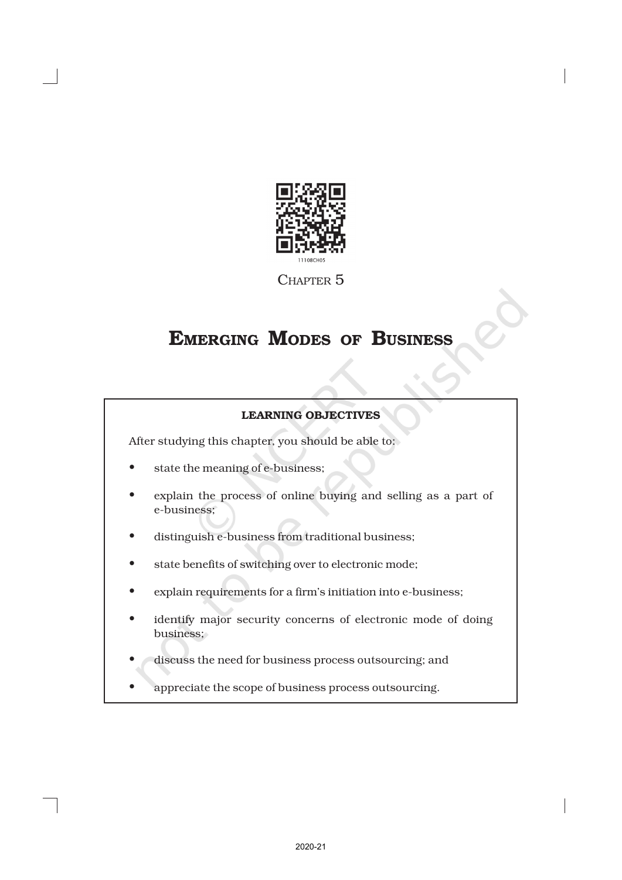

CHAPTER 5

# EMERGING MODES OF BUSINESS

# LEARNING OBJECTIVES

After studying this chapter, you should be able to:

- state the meaning of e-business;
- explain the process of online buying and selling as a part of e-business;
- distinguish e-business from traditional business;
- state benefits of switching over to electronic mode;
- explain requirements for a firm's initiation into e-business;
- identify major security concerns of electronic mode of doing business;
- discuss the need for business process outsourcing; and
- appreciate the scope of business process outsourcing.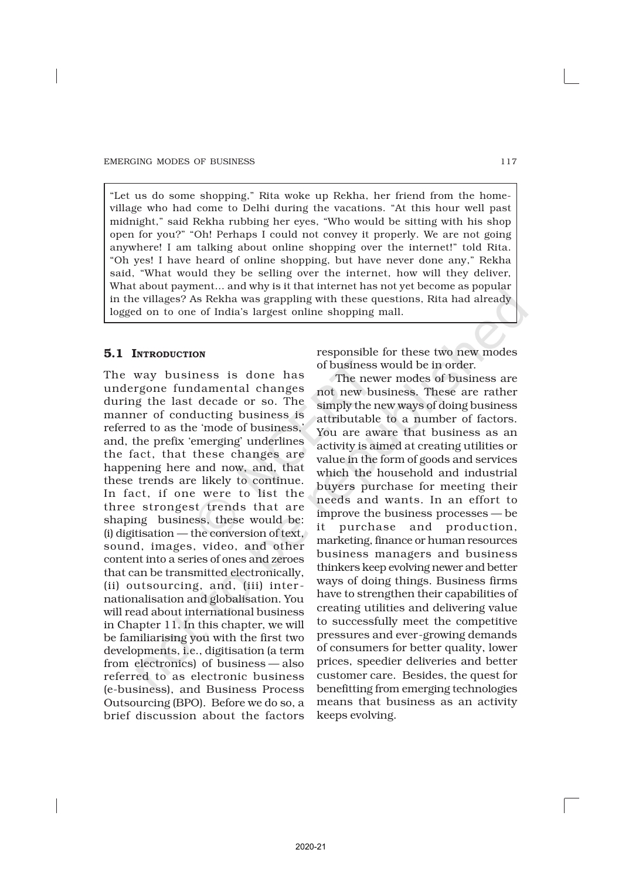"Let us do some shopping," Rita woke up Rekha, her friend from the homevillage who had come to Delhi during the vacations. "At this hour well past midnight," said Rekha rubbing her eyes, "Who would be sitting with his shop open for you?" "Oh! Perhaps I could not convey it properly. We are not going anywhere! I am talking about online shopping over the internet!" told Rita. "Oh yes! I have heard of online shopping, but have never done any," Rekha said, "What would they be selling over the internet, how will they deliver, What about payment… and why is it that internet has not yet become as popular in the villages? As Rekha was grappling with these questions, Rita had already logged on to one of India's largest online shopping mall.

# 5.1 INTRODUCTION

The way business is done has undergone fundamental changes during the last decade or so. The manner of conducting business is referred to as the 'mode of business,' and, the prefix 'emerging' underlines the fact, that these changes are happening here and now, and, that these trends are likely to continue. In fact, if one were to list the three strongest trends that are shaping business, these would be: (i) digitisation — the conversion of text, sound, images, video, and other content into a series of ones and zeroes that can be transmitted electronically, (ii) outsourcing, and, (iii) inter nationalisation and globalisation. You will read about international business in Chapter 11. In this chapter, we will be familiarising you with the first two developments, i.e., digitisation (a term from electronics) of business — also referred to as electronic business (e-business), and Business Process Outsourcing (BPO). Before we do so, a brief discussion about the factors

responsible for these two new modes of business would be in order.

The newer modes of business are not new business. These are rather simply the new ways of doing business attributable to a number of factors. You are aware that business as an activity is aimed at creating utilities or value in the form of goods and services which the household and industrial buyers purchase for meeting their needs and wants. In an effort to improve the business processes — be it purchase and production, marketing, finance or human resources business managers and business thinkers keep evolving newer and better ways of doing things. Business firms have to strengthen their capabilities of creating utilities and delivering value to successfully meet the competitive pressures and ever-growing demands of consumers for better quality, lower prices, speedier deliveries and better customer care. Besides, the quest for benefitting from emerging technologies means that business as an activity keeps evolving.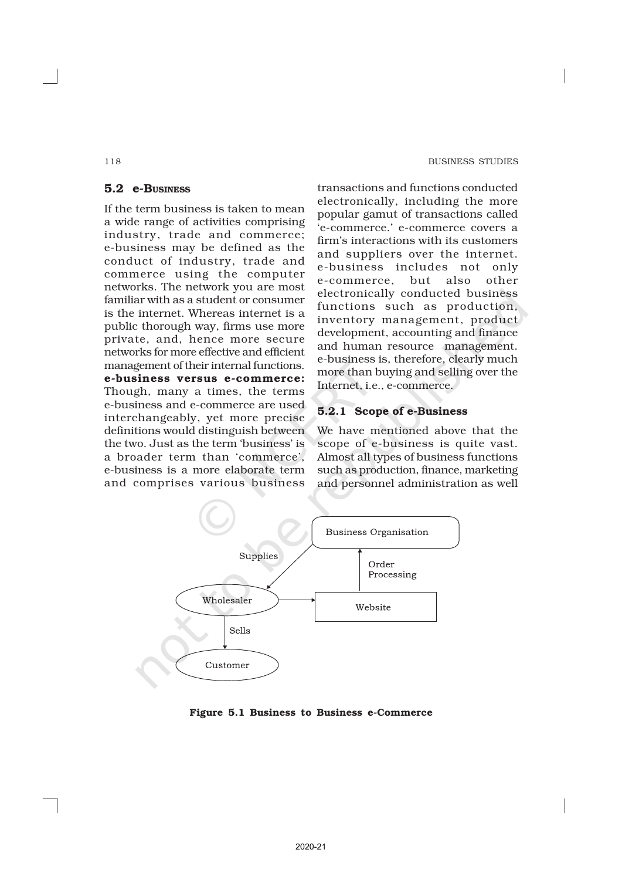#### 118 BUSINESS STUDIES

# 5.2 e-BUSINESS

If the term business is taken to mean a wide range of activities comprising industry, trade and commerce; e-business may be defined as the conduct of industry, trade and commerce using the computer networks. The network you are most familiar with as a student or consumer is the internet. Whereas internet is a public thorough way, firms use more private, and, hence more secure networks for more effective and efficient management of their internal functions. e-business versus e-commerce: Though, many a times, the terms e-business and e-commerce are used interchangeably, yet more precise definitions would distinguish between the two. Just as the term 'business' is a broader term than 'commerce', e-business is a more elaborate term and comprises various business

transactions and functions conducted electronically, including the more popular gamut of transactions called 'e-commerce.' e-commerce covers a firm's interactions with its customers and suppliers over the internet. e-business includes not only e-commerce, but also other electronically conducted business functions such as production, inventory management, product development, accounting and finance and human resource management. e-business is, therefore, clearly much more than buying and selling over the Internet, i.e., e-commerce.

# 5.2.1 Scope of e-Business

We have mentioned above that the scope of e-business is quite vast. Almost all types of business functions such as production, finance, marketing and personnel administration as well



#### Figure 5.1 Business to Business e-Commerce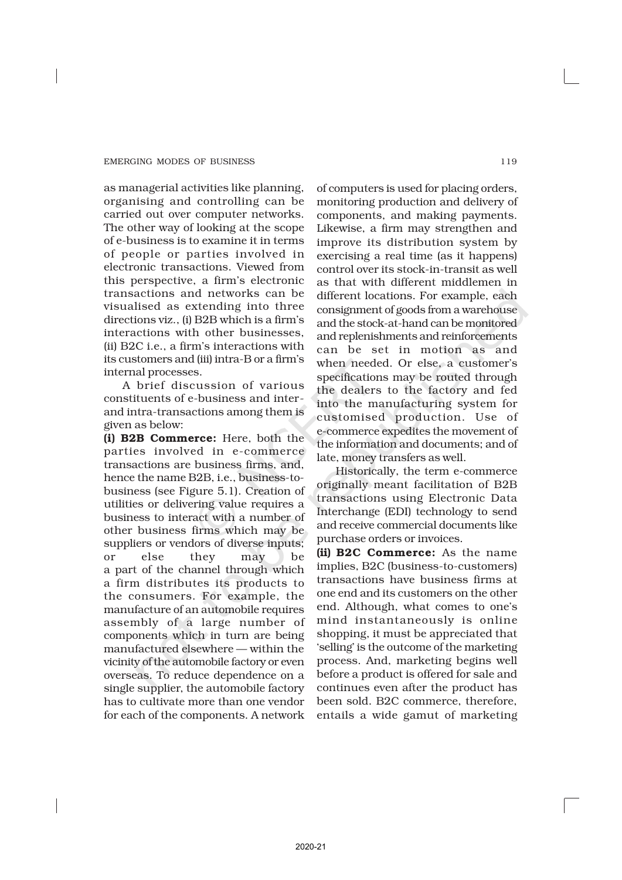as managerial activities like planning, organising and controlling can be carried out over computer networks. The other way of looking at the scope of e-business is to examine it in terms of people or parties involved in electronic transactions. Viewed from this perspective, a firm's electronic transactions and networks can be visualised as extending into three directions viz., (i) B2B which is a firm's interactions with other businesses, (ii) B2C i.e., a firm's interactions with its customers and (iii) intra-B or a firm's internal processes.

A brief discussion of various constituents of e-business and interand intra-transactions among them is given as below:

(i) B2B Commerce: Here, both the parties involved in e-commerce transactions are business firms, and, hence the name B2B, i.e., business-tobusiness (see Figure 5.1). Creation of utilities or delivering value requires a business to interact with a number of other business firms which may be suppliers or vendors of diverse inputs; or else they may be a part of the channel through which a firm distributes its products to the consumers. For example, the manufacture of an automobile requires assembly of a large number of components which in turn are being manufactured elsewhere — within the vicinity of the automobile factory or even overseas. To reduce dependence on a single supplier, the automobile factory has to cultivate more than one vendor for each of the components. A network

of computers is used for placing orders, monitoring production and delivery of components, and making payments. Likewise, a firm may strengthen and improve its distribution system by exercising a real time (as it happens) control over its stock-in-transit as well as that with different middlemen in different locations. For example, each consignment of goods from a warehouse and the stock-at-hand can be monitored and replenishments and reinforcements can be set in motion as and when needed. Or else, a customer's specifications may be routed through the dealers to the factory and fed into the manufacturing system for customised production. Use of e-commerce expedites the movement of the information and documents; and of late, money transfers as well.

Historically, the term e-commerce originally meant facilitation of B2B transactions using Electronic Data Interchange (EDI) technology to send and receive commercial documents like purchase orders or invoices.

(ii) B2C Commerce: As the name implies, B2C (business-to-customers) transactions have business firms at one end and its customers on the other end. Although, what comes to one's mind instantaneously is online shopping, it must be appreciated that 'selling' is the outcome of the marketing process. And, marketing begins well before a product is offered for sale and continues even after the product has been sold. B2C commerce, therefore, entails a wide gamut of marketing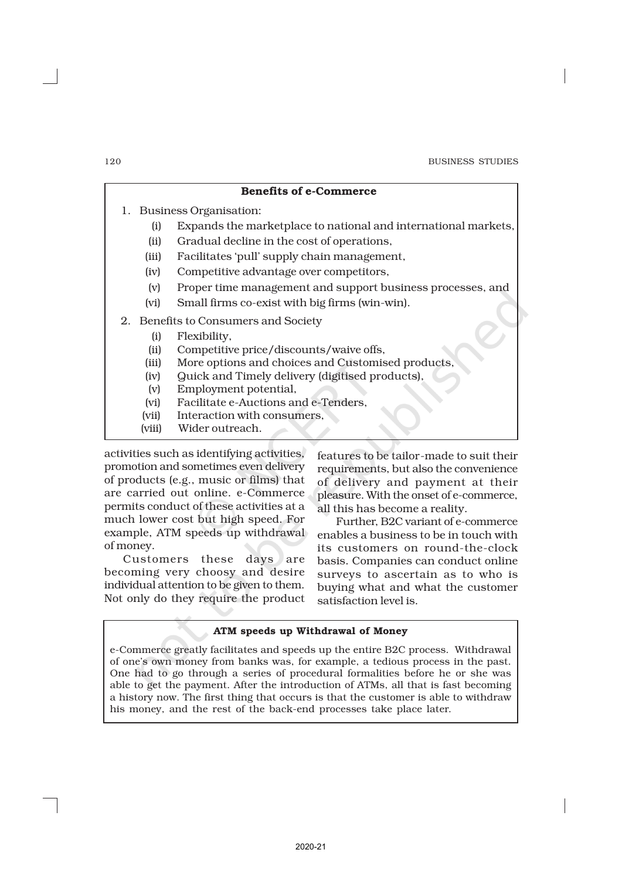|    |        | <b>Benefits of e-Commerce</b>                                  |
|----|--------|----------------------------------------------------------------|
| 1. |        | <b>Business Organisation:</b>                                  |
|    | (i)    | Expands the marketplace to national and international markets, |
|    | (ii)   | Gradual decline in the cost of operations,                     |
|    | (iii)  | Facilitates 'pull' supply chain management,                    |
|    | (iv)   | Competitive advantage over competitors,                        |
|    | (v)    | Proper time management and support business processes, and     |
|    | (vi)   | Small firms co-exist with big firms (win-win).                 |
|    |        | 2. Benefits to Consumers and Society                           |
|    | (i)    | Flexibility,                                                   |
|    | (ii)   | Competitive price/discounts/waive offs,                        |
|    | (iii)  | More options and choices and Customised products,              |
|    | (iv)   | Quick and Timely delivery (digitised products),                |
|    | (v)    | Employment potential,                                          |
|    | (vi)   | Facilitate e-Auctions and e-Tenders.                           |
|    | (vii)  | Interaction with consumers,                                    |
|    | (viii) | Wider outreach.                                                |

activities such as identifying activities, promotion and sometimes even delivery of products (e.g., music or films) that are carried out online. e-Commerce permits conduct of these activities at a much lower cost but high speed. For example, ATM speeds up withdrawal of money.

Customers these days are becoming very choosy and desire individual attention to be given to them. Not only do they require the product features to be tailor-made to suit their requirements, but also the convenience of delivery and payment at their pleasure. With the onset of e-commerce, all this has become a reality.

Further, B2C variant of e-commerce enables a business to be in touch with its customers on round-the-clock basis. Companies can conduct online surveys to ascertain as to who is buying what and what the customer satisfaction level is.

#### ATM speeds up Withdrawal of Money

e-Commerce greatly facilitates and speeds up the entire B2C process. Withdrawal of one's own money from banks was, for example, a tedious process in the past. One had to go through a series of procedural formalities before he or she was able to get the payment. After the introduction of ATMs, all that is fast becoming a history now. The first thing that occurs is that the customer is able to withdraw his money, and the rest of the back-end processes take place later.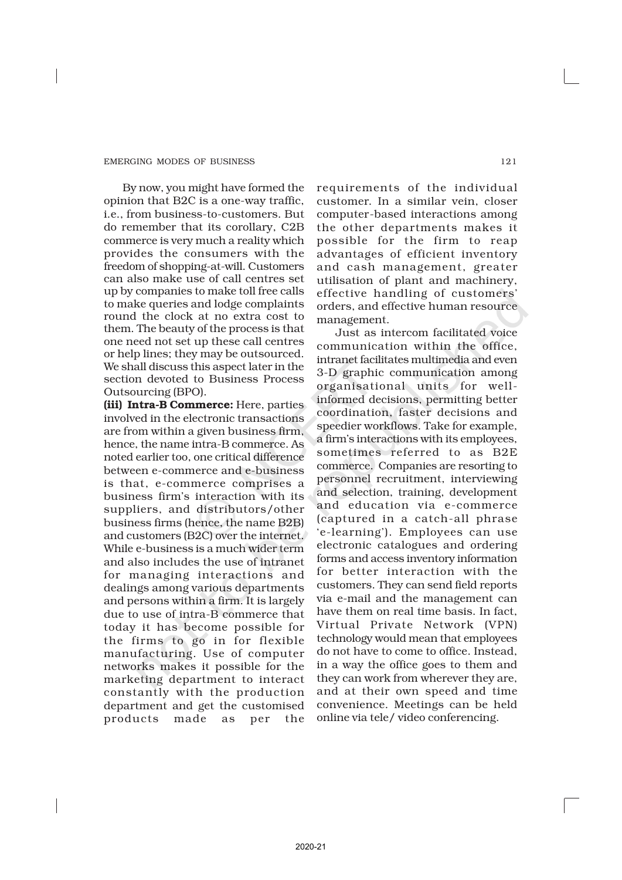By now, you might have formed the opinion that B2C is a one-way traffic, i.e., from business-to-customers. But do remember that its corollary, C2B commerce is very much a reality which provides the consumers with the freedom of shopping-at-will. Customers can also make use of call centres set up by companies to make toll free calls to make queries and lodge complaints round the clock at no extra cost to them. The beauty of the process is that one need not set up these call centres or help lines; they may be outsourced. We shall discuss this aspect later in the section devoted to Business Process Outsourcing (BPO).

(iii) Intra-B Commerce: Here, parties involved in the electronic transactions are from within a given business firm, hence, the name intra-B commerce. As noted earlier too, one critical difference between e-commerce and e-business is that, e-commerce comprises a business firm's interaction with its suppliers, and distributors/other business firms (hence, the name B2B) and customers (B2C) over the internet. While e-business is a much wider term and also includes the use of intranet for managing interactions and dealings among various departments and persons within a firm. It is largely due to use of intra-B commerce that today it has become possible for the firms to go in for flexible manufacturing. Use of computer networks makes it possible for the marketing department to interact constantly with the production department and get the customised products made as per the

requirements of the individual customer. In a similar vein, closer computer-based interactions among the other departments makes it possible for the firm to reap advantages of efficient inventory and cash management, greater utilisation of plant and machinery, effective handling of customers' orders, and effective human resource management.

Just as intercom facilitated voice communication within the office, intranet facilitates multimedia and even 3-D graphic communication among organisational units for wellinformed decisions, permitting better coordination, faster decisions and speedier workflows. Take for example, a firm's interactions with its employees, sometimes referred to as B2E commerce. Companies are resorting to personnel recruitment, interviewing and selection, training, development and education via e-commerce (captured in a catch-all phrase 'e-learning'). Employees can use electronic catalogues and ordering forms and access inventory information for better interaction with the customers. They can send field reports via e-mail and the management can have them on real time basis. In fact, Virtual Private Network (VPN) technology would mean that employees do not have to come to office. Instead, in a way the office goes to them and they can work from wherever they are, and at their own speed and time convenience. Meetings can be held online via tele/ video conferencing.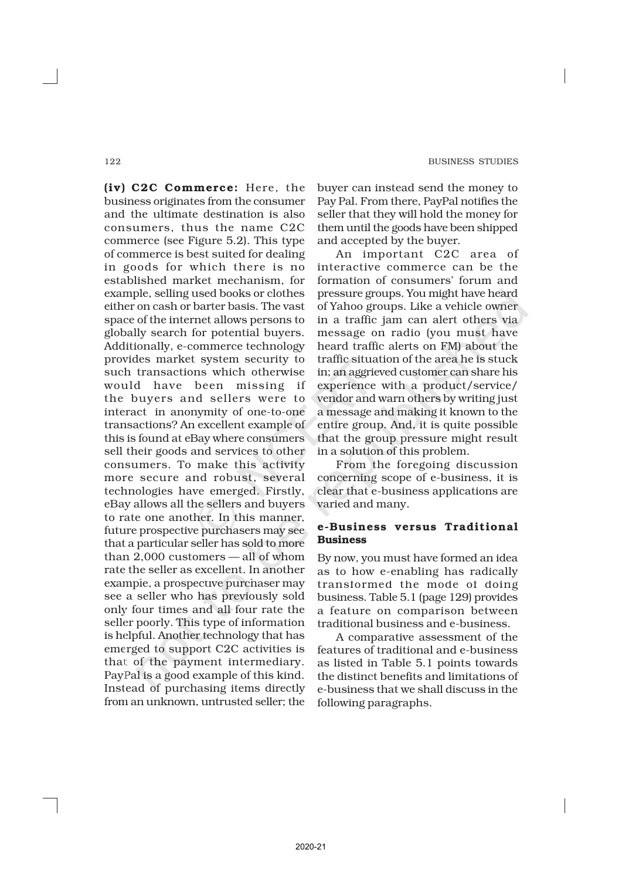(iv) C2C Commerce: Here, the business originates from the consumer and the ultimate destination is also consumers, thus the name C2C commerce (see Figure 5.2). This type of commerce is best suited for dealing in goods for which there is no established market mechanism, for example, selling used books or clothes either on cash or barter basis. The vast space of the internet allows persons to globally search for potential buyers. Additionally, e-commerce technology provides market system security to such transactions which otherwise would have been missing if the buyers and sellers were to interact in anonymity of one-to-one transactions? An excellent example of this is found at eBay where consumers sell their goods and services to other consumers. To make this activity more secure and robust, several technologies have emerged. Firstly, eBay allows all the sellers and buyers to rate one another. In this manner, future prospective purchasers may see that a particular seller has sold to more than 2,000 customers — all of whom rate the seller as excellent. In another example, a prospective purchaser may see a seller who has previously sold only four times and all four rate the seller poorly. This type of information is helpful. Another technology that has emerged to support C2C activities is that of the payment intermediary. PayPal is a good example of this kind. Instead of purchasing items directly from an unknown, untrusted seller; the

buyer can instead send the money to Pay Pal. From there, PayPal notifies the seller that they will hold the money for them until the goods have been shipped and accepted by the buyer.

An important C2C area of interactive commerce can be the formation of consumers' forum and pressure groups. You might have heard of Yahoo groups. Like a vehicle owner in a traffic jam can alert others via message on radio (you must have heard traffic alerts on FM) about the traffic situation of the area he is stuck in; an aggrieved customer can share his experience with a product/service/ vendor and warn others by writing just a message and making it known to the entire group. And, it is quite possible that the group pressure might result in a solution of this problem.

From the foregoing discussion concerning scope of e-business, it is clear that e-business applications are varied and many.

# e-Business versus Traditional Business

By now, you must have formed an idea as to how e-enabling has radically transformed the mode of doing business. Table 5.1 (page 129) provides a feature on comparison between traditional business and e-business.

A comparative assessment of the features of traditional and e-business as listed in Table 5.1 points towards the distinct benefits and limitations of e-business that we shall discuss in the following paragraphs.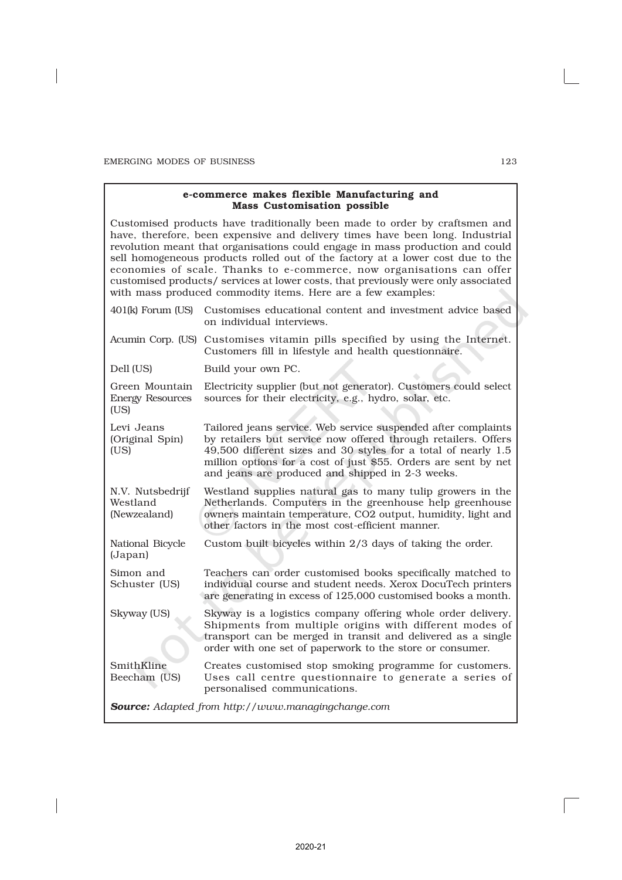## e-commerce makes flexible Manufacturing and Mass Customisation possible

Customised products have traditionally been made to order by craftsmen and have, therefore, been expensive and delivery times have been long. Industrial revolution meant that organisations could engage in mass production and could sell homogeneous products rolled out of the factory at a lower cost due to the economies of scale. Thanks to e-commerce, now organisations can offer customised products/ services at lower costs, that previously were only associated with mass produced commodity items. Here are a few examples:

| 401(k) Forum (US)                                 | Customises educational content and investment advice based<br>on individual interviews.                                                                                                                                                                                                                                   |
|---------------------------------------------------|---------------------------------------------------------------------------------------------------------------------------------------------------------------------------------------------------------------------------------------------------------------------------------------------------------------------------|
|                                                   | Acumin Corp. (US) Customises vitamin pills specified by using the Internet.<br>Customers fill in lifestyle and health questionnaire.                                                                                                                                                                                      |
| Dell (US)                                         | Build your own PC.                                                                                                                                                                                                                                                                                                        |
| Green Mountain<br><b>Energy Resources</b><br>(US) | Electricity supplier (but not generator). Customers could select<br>sources for their electricity, e.g., hydro, solar, etc.                                                                                                                                                                                               |
| Levi Jeans<br>(Original Spin)<br>(US)             | Tailored jeans service. Web service suspended after complaints<br>by retailers but service now offered through retailers. Offers<br>49,500 different sizes and 30 styles for a total of nearly 1.5<br>million options for a cost of just \$55. Orders are sent by net<br>and jeans are produced and shipped in 2-3 weeks. |
| N.V. Nutsbedrijf<br>Westland<br>(Newzealand)      | Westland supplies natural gas to many tulip growers in the<br>Netherlands. Computers in the greenhouse help greenhouse<br>owners maintain temperature, CO2 output, humidity, light and<br>other factors in the most cost-efficient manner.                                                                                |
| National Bicycle<br>(Japan)                       | Custom built bicycles within 2/3 days of taking the order.                                                                                                                                                                                                                                                                |
| Simon and<br>Schuster (US)                        | Teachers can order customised books specifically matched to<br>individual course and student needs. Xerox DocuTech printers<br>are generating in excess of 125,000 customised books a month.                                                                                                                              |
| Skyway (US)                                       | Skyway is a logistics company offering whole order delivery.<br>Shipments from multiple origins with different modes of<br>transport can be merged in transit and delivered as a single<br>order with one set of paperwork to the store or consumer.                                                                      |
| SmithKline<br>Beecham (US)                        | Creates customised stop smoking programme for customers.<br>Uses call centre questionnaire to generate a series of<br>personalised communications.                                                                                                                                                                        |
|                                                   | <b>Source:</b> Adapted from http://www.managingchange.com                                                                                                                                                                                                                                                                 |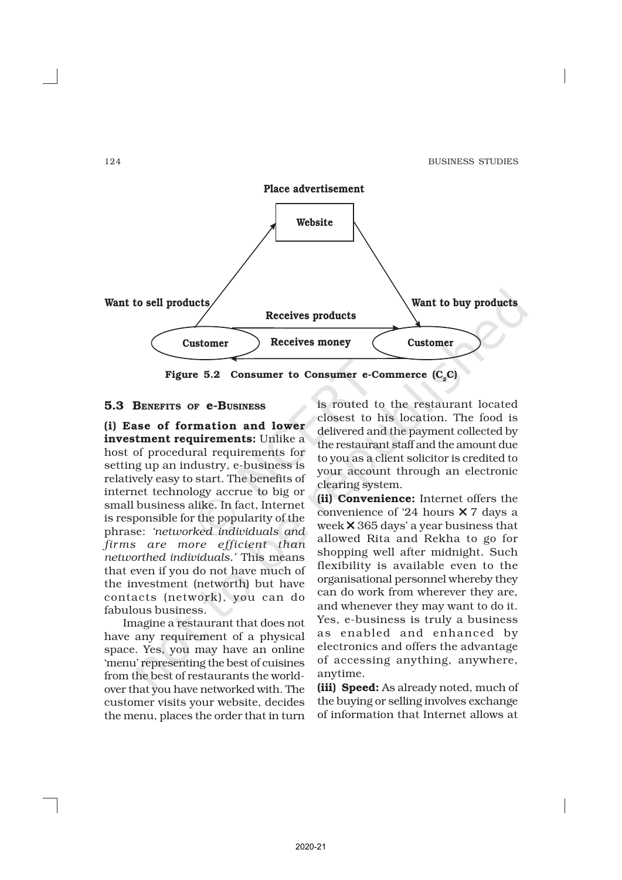

Figure 5.2 Consumer to Consumer e-Commerce  $(C_2C)$ 

# 5.3 BENEFITS OF e-BUSINESS

(i) Ease of formation and lower investment requirements: Unlike a host of procedural requirements for setting up an industry, e-business is relatively easy to start. The benefits of internet technology accrue to big or small business alike. In fact, Internet is responsible for the popularity of the phrase: *'networked individuals and firms are more efficient than networthed individuals.'* This means that even if you do not have much of the investment (networth) but have contacts (network), you can do fabulous business.

Imagine a restaurant that does not have any requirement of a physical space. Yes, you may have an online 'menu' representing the best of cuisines from the best of restaurants the worldover that you have networked with. The customer visits your website, decides the menu, places the order that in turn

is routed to the restaurant located closest to his location. The food is delivered and the payment collected by the restaurant staff and the amount due to you as a client solicitor is credited to your account through an electronic clearing system.

(ii) Convenience: Internet offers the convenience of '24 hours × 7 days a week × 365 days' a year business that allowed Rita and Rekha to go for shopping well after midnight. Such flexibility is available even to the organisational personnel whereby they can do work from wherever they are, and whenever they may want to do it. Yes, e-business is truly a business as enabled and enhanced by electronics and offers the advantage of accessing anything, anywhere, anytime.

(iii) Speed: As already noted, much of the buying or selling involves exchange of information that Internet allows at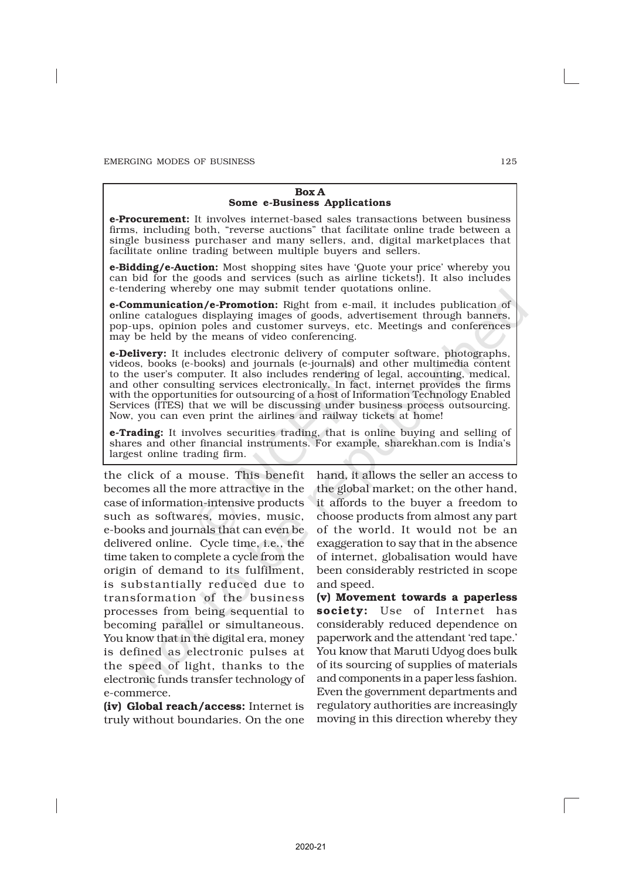#### Box A Some e-Business Applications

e-Procurement: It involves internet-based sales transactions between business firms, including both, "reverse auctions" that facilitate online trade between a single business purchaser and many sellers, and, digital marketplaces that facilitate online trading between multiple buyers and sellers.

e-Bidding/e-Auction: Most shopping sites have 'Quote your price' whereby you can bid for the goods and services (such as airline tickets!). It also includes e-tendering whereby one may submit tender quotations online.

e-Communication/e-Promotion: Right from e-mail, it includes publication of online catalogues displaying images of goods, advertisement through banners, pop-ups, opinion poles and customer surveys, etc. Meetings and conferences may be held by the means of video conferencing.

e-Delivery: It includes electronic delivery of computer software, photographs, videos, books (e-books) and journals (e-journals) and other multimedia content to the user's computer. It also includes rendering of legal, accounting, medical, and other consulting services electronically. In fact, internet provides the firms with the opportunities for outsourcing of a host of Information Technology Enabled Services (ITES) that we will be discussing under business process outsourcing. Now, you can even print the airlines and railway tickets at home!

**e-Trading:** It involves securities trading, that is online buying and selling of shares and other financial instruments. For example, sharekhan.com is India's largest online trading firm.

the click of a mouse. This benefit becomes all the more attractive in the case of information-intensive products such as softwares, movies, music, e-books and journals that can even be delivered online. Cycle time, i.e., the time taken to complete a cycle from the origin of demand to its fulfilment, is substantially reduced due to transformation of the business processes from being sequential to becoming parallel or simultaneous. You know that in the digital era, money is defined as electronic pulses at the speed of light, thanks to the electronic funds transfer technology of e-commerce.

(iv) Global reach/access: Internet is truly without boundaries. On the one hand, it allows the seller an access to the global market; on the other hand, it affords to the buyer a freedom to choose products from almost any part of the world. It would not be an exaggeration to say that in the absence of internet, globalisation would have been considerably restricted in scope and speed.

(v) Movement towards a paperless society: Use of Internet has considerably reduced dependence on paperwork and the attendant 'red tape.' You know that Maruti Udyog does bulk of its sourcing of supplies of materials and components in a paper less fashion. Even the government departments and regulatory authorities are increasingly moving in this direction whereby they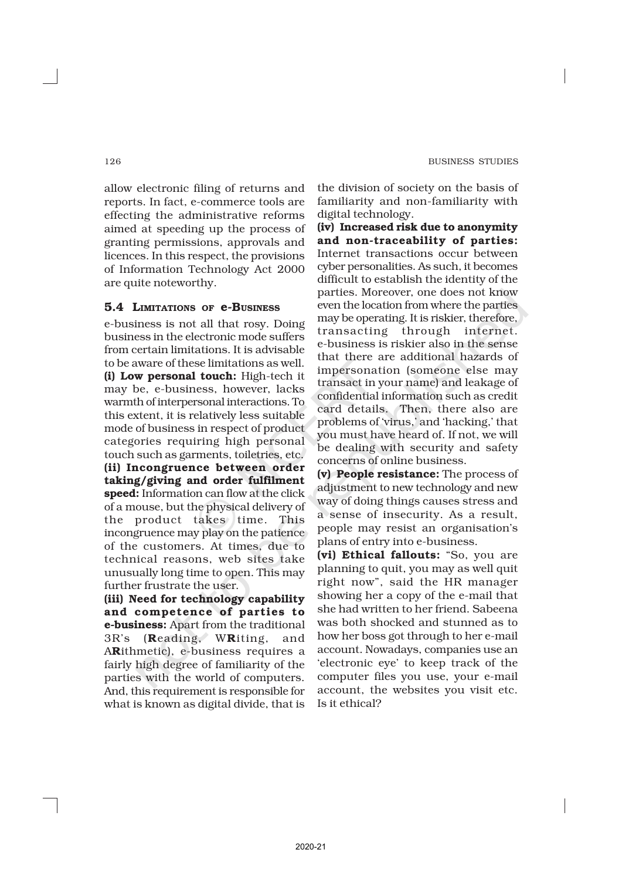allow electronic filing of returns and reports. In fact, e-commerce tools are effecting the administrative reforms aimed at speeding up the process of granting permissions, approvals and licences. In this respect, the provisions of Information Technology Act 2000 are quite noteworthy.

# 5.4 LIMITATIONS OF e-BUSINESS

e-business is not all that rosy. Doing business in the electronic mode suffers from certain limitations. It is advisable to be aware of these limitations as well. (i) Low personal touch: High-tech it may be, e-business, however, lacks warmth of interpersonal interactions. To this extent, it is relatively less suitable mode of business in respect of product categories requiring high personal touch such as garments, toiletries, etc. (ii) Incongruence between order taking/giving and order fulfilment speed: Information can flow at the click of a mouse, but the physical delivery of the product takes time. This incongruence may play on the patience of the customers. At times, due to technical reasons, web sites take unusually long time to open. This may further frustrate the user.

(iii) Need for technology capability and competence of parties to e-business: Apart from the traditional 3R's (Reading, WRiting, and ARithmetic), e-business requires a fairly high degree of familiarity of the parties with the world of computers. And, this requirement is responsible for what is known as digital divide, that is

the division of society on the basis of familiarity and non-familiarity with digital technology.

(iv) Increased risk due to anonymity and non-traceability of parties: Internet transactions occur between cyber personalities. As such, it becomes difficult to establish the identity of the parties. Moreover, one does not know even the location from where the parties may be operating. It is riskier, therefore, transacting through internet. e-business is riskier also in the sense that there are additional hazards of impersonation (someone else may transact in your name) and leakage of confidential information such as credit card details. Then, there also are problems of 'virus,' and 'hacking,' that you must have heard of. If not, we will be dealing with security and safety concerns of online business.

(v) People resistance: The process of adjustment to new technology and new way of doing things causes stress and a sense of insecurity. As a result, people may resist an organisation's plans of entry into e-business.

(vi) Ethical fallouts: "So, you are planning to quit, you may as well quit right now", said the HR manager showing her a copy of the e-mail that she had written to her friend. Sabeena was both shocked and stunned as to how her boss got through to her e-mail account. Nowadays, companies use an 'electronic eye' to keep track of the computer files you use, your e-mail account, the websites you visit etc. Is it ethical?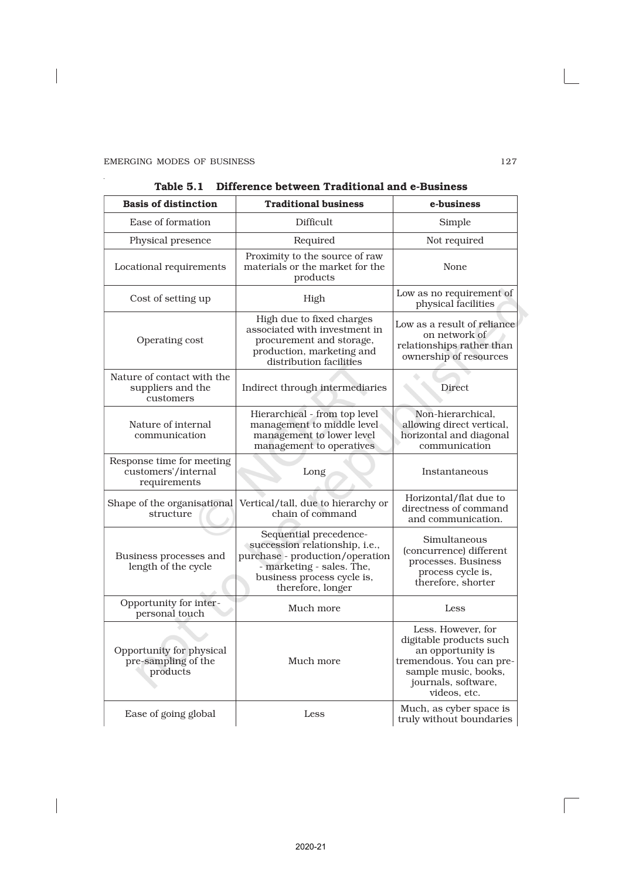$\overline{\phantom{a}}$ 

 $\overline{\phantom{a}}$ 

J.

| <b>Basis of distinction</b>                                      | <b>Traditional business</b>                                                                                                                                                 | e-business                                                                                                                                                    |
|------------------------------------------------------------------|-----------------------------------------------------------------------------------------------------------------------------------------------------------------------------|---------------------------------------------------------------------------------------------------------------------------------------------------------------|
| Ease of formation                                                | Difficult                                                                                                                                                                   | Simple                                                                                                                                                        |
| Physical presence                                                | Required                                                                                                                                                                    | Not required                                                                                                                                                  |
| Locational requirements                                          | Proximity to the source of raw<br>materials or the market for the<br>products                                                                                               | None                                                                                                                                                          |
| Cost of setting up                                               | High                                                                                                                                                                        | Low as no requirement of<br>physical facilities                                                                                                               |
| Operating cost                                                   | High due to fixed charges<br>associated with investment in<br>procurement and storage,<br>production, marketing and<br>distribution facilities                              | Low as a result of reliance<br>on network of<br>relationships rather than<br>ownership of resources                                                           |
| Nature of contact with the<br>suppliers and the<br>customers     | Indirect through intermediaries                                                                                                                                             | Direct                                                                                                                                                        |
| Nature of internal<br>communication                              | Hierarchical - from top level<br>management to middle level<br>management to lower level<br>management to operatives                                                        | Non-hierarchical,<br>allowing direct vertical,<br>horizontal and diagonal<br>communication                                                                    |
| Response time for meeting<br>customers'/internal<br>requirements | Long                                                                                                                                                                        | Instantaneous                                                                                                                                                 |
| Shape of the organisational<br>structure                         | Vertical/tall, due to hierarchy or<br>chain of command                                                                                                                      | Horizontal/flat due to<br>directness of command<br>and communication.                                                                                         |
| Business processes and<br>length of the cycle                    | Sequential precedence-<br>succession relationship, i.e.,<br>purchase - production/operation<br>- marketing - sales. The,<br>business process cycle is,<br>therefore, longer | Simultaneous<br>(concurrence) different<br>processes. Business<br>process cycle is,<br>therefore, shorter                                                     |
| Opportunity for inter-<br>personal touch                         | Much more                                                                                                                                                                   | Less                                                                                                                                                          |
| Opportunity for physical<br>pre-sampling of the<br>products      | Much more                                                                                                                                                                   | Less. However, for<br>digitable products such<br>an opportunity is<br>tremendous. You can pre-<br>sample music, books,<br>journals, software,<br>videos, etc. |
| Ease of going global                                             | Less                                                                                                                                                                        | Much, as cyber space is<br>truly without boundaries                                                                                                           |

| Table 5.1    Difference between Traditional and e-Business |  |  |  |
|------------------------------------------------------------|--|--|--|
|                                                            |  |  |  |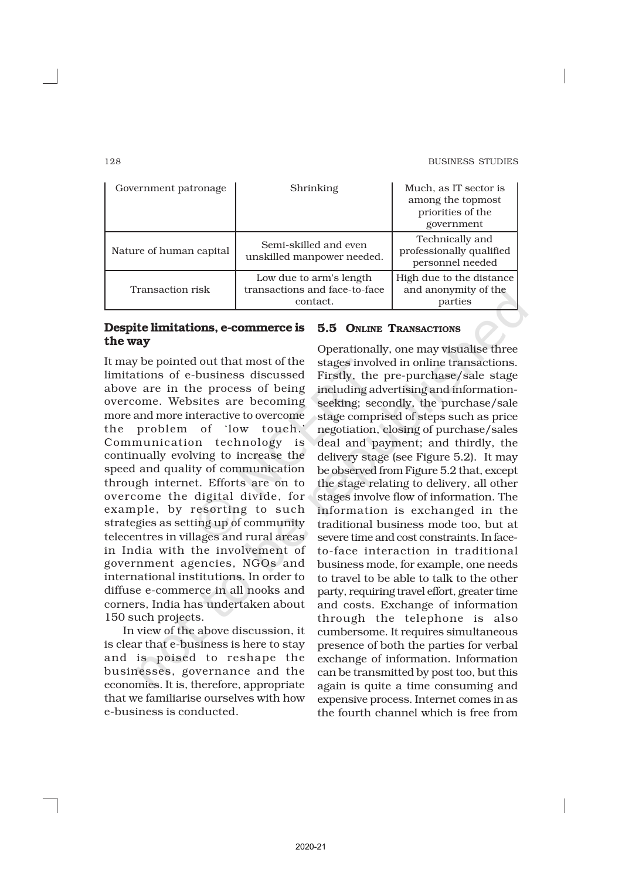| Government patronage    | Shrinking                                                            | Much, as IT sector is<br>among the topmost<br>priorities of the<br>government |
|-------------------------|----------------------------------------------------------------------|-------------------------------------------------------------------------------|
| Nature of human capital | Semi-skilled and even<br>unskilled manpower needed.                  | Technically and<br>professionally qualified<br>personnel needed               |
| Transaction risk        | Low due to arm's length<br>transactions and face-to-face<br>contact. | High due to the distance<br>and anonymity of the<br>parties                   |

# Despite limitations, e-commerce is the way

It may be pointed out that most of the limitations of e-business discussed above are in the process of being overcome. Websites are becoming more and more interactive to overcome the problem of 'low touch.' Communication technology is continually evolving to increase the speed and quality of communication through internet. Efforts are on to overcome the digital divide, for example, by resorting to such strategies as setting up of community telecentres in villages and rural areas in India with the involvement of government agencies, NGOs and international institutions. In order to diffuse e-commerce in all nooks and corners, India has undertaken about 150 such projects.

In view of the above discussion, it is clear that e-business is here to stay and is poised to reshape the businesses, governance and the economies. It is, therefore, appropriate that we familiarise ourselves with how e-business is conducted.

# 5.5 ONLINE TRANSACTIONS

Operationally, one may visualise three stages involved in online transactions. Firstly, the pre-purchase/sale stage including advertising and informationseeking; secondly, the purchase/sale stage comprised of steps such as price negotiation, closing of purchase/sales deal and payment; and thirdly, the delivery stage (see Figure 5.2). It may be observed from Figure 5.2 that, except the stage relating to delivery, all other stages involve flow of information. The information is exchanged in the traditional business mode too, but at severe time and cost constraints. In faceto-face interaction in traditional business mode, for example, one needs to travel to be able to talk to the other party, requiring travel effort, greater time and costs. Exchange of information through the telephone is also cumbersome. It requires simultaneous presence of both the parties for verbal exchange of information. Information can be transmitted by post too, but this again is quite a time consuming and expensive process. Internet comes in as the fourth channel which is free from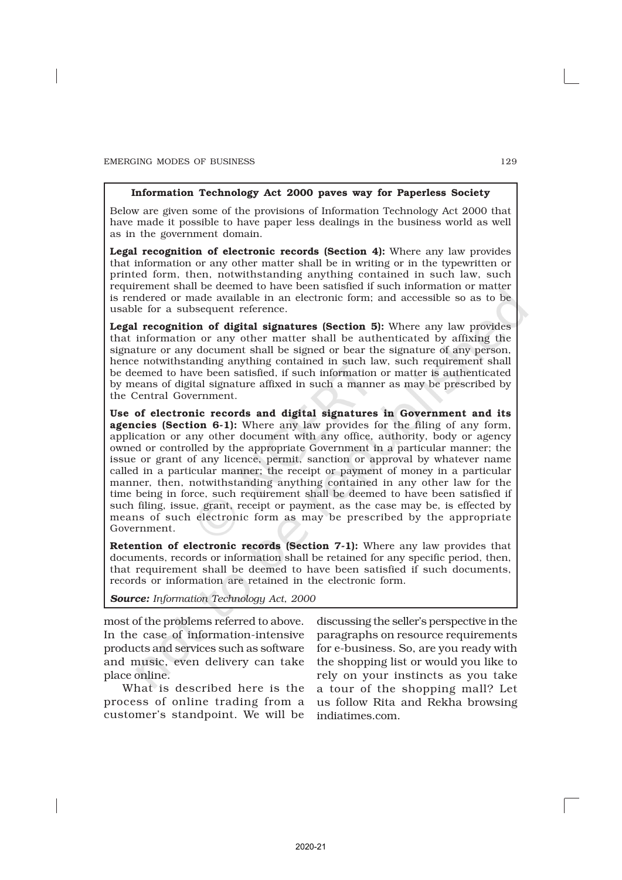#### Information Technology Act 2000 paves way for Paperless Society

Below are given some of the provisions of Information Technology Act 2000 that have made it possible to have paper less dealings in the business world as well as in the government domain.

Legal recognition of electronic records (Section 4): Where any law provides that information or any other matter shall be in writing or in the typewritten or printed form, then, notwithstanding anything contained in such law, such requirement shall be deemed to have been satisfied if such information or matter is rendered or made available in an electronic form; and accessible so as to be usable for a subsequent reference.

Legal recognition of digital signatures (Section 5): Where any law provides that information or any other matter shall be authenticated by affixing the signature or any document shall be signed or bear the signature of any person, hence notwithstanding anything contained in such law, such requirement shall be deemed to have been satisfied, if such information or matter is authenticated by means of digital signature affixed in such a manner as may be prescribed by the Central Government.

Use of electronic records and digital signatures in Government and its agencies (Section 6-1): Where any law provides for the filing of any form, application or any other document with any office, authority, body or agency owned or controlled by the appropriate Government in a particular manner; the issue or grant of any licence, permit, sanction or approval by whatever name called in a particular manner; the receipt or payment of money in a particular manner, then, notwithstanding anything contained in any other law for the time being in force, such requirement shall be deemed to have been satisfied if such filing, issue, grant, receipt or payment, as the case may be, is effected by means of such electronic form as may be prescribed by the appropriate Government.

Retention of electronic records (Section 7-1): Where any law provides that documents, records or information shall be retained for any specific period, then, that requirement shall be deemed to have been satisfied if such documents, records or information are retained in the electronic form.

*Source: Information Technology Act, 2000*

most of the problems referred to above. In the case of information-intensive products and services such as software and music, even delivery can take place online.

What is described here is the process of online trading from a customer's standpoint. We will be

discussing the seller's perspective in the paragraphs on resource requirements for e-business. So, are you ready with the shopping list or would you like to rely on your instincts as you take a tour of the shopping mall? Let us follow Rita and Rekha browsing indiatimes.com.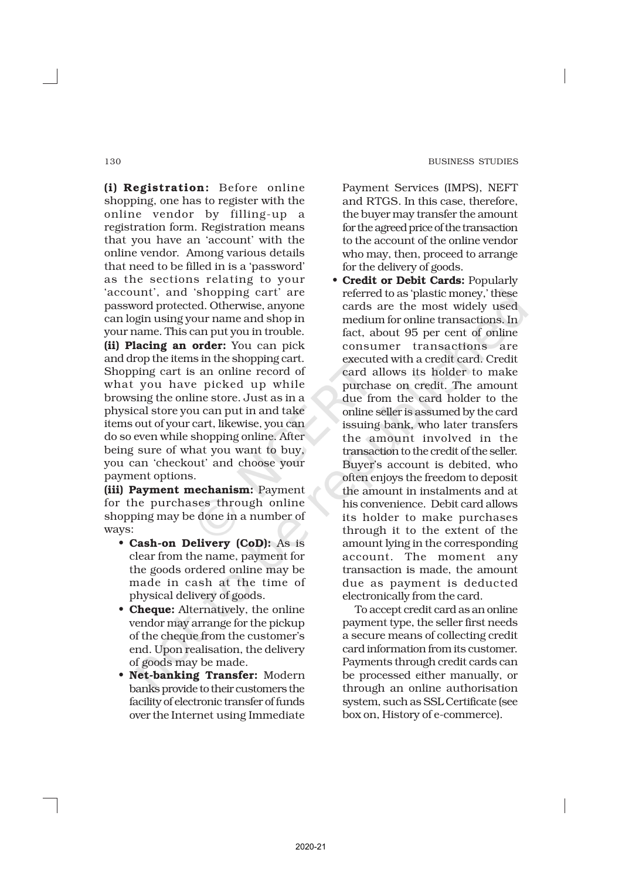(i) Registration: Before online shopping, one has to register with the online vendor by filling-up a registration form. Registration means that you have an 'account' with the online vendor. Among various details that need to be filled in is a 'password' as the sections relating to your 'account', and 'shopping cart' are password protected. Otherwise, anyone can login using your name and shop in your name. This can put you in trouble. (ii) Placing an order: You can pick and drop the items in the shopping cart. Shopping cart is an online record of what you have picked up while browsing the online store. Just as in a physical store you can put in and take items out of your cart, likewise, you can do so even while shopping online. After being sure of what you want to buy, you can 'checkout' and choose your payment options.

(iii) Payment mechanism: Payment for the purchases through online shopping may be done in a number of ways:

- Cash-on Delivery (CoD): As is clear from the name, payment for the goods ordered online may be made in cash at the time of physical delivery of goods.
- **Cheque:** Alternatively, the online vendor may arrange for the pickup of the cheque from the customer's end. Upon realisation, the delivery of goods may be made.
- Net-banking Transfer: Modern banks provide to their customers the facility of electronic transfer of funds over the Internet using Immediate

Payment Services (IMPS), NEFT and RTGS. In this case, therefore, the buyer may transfer the amount for the agreed price of the transaction to the account of the online vendor who may, then, proceed to arrange for the delivery of goods.

*•* Credit or Debit Cards: Popularly referred to as 'plastic money,' these cards are the most widely used medium for online transactions. In fact, about 95 per cent of online consumer transactions are executed with a credit card. Credit card allows its holder to make purchase on credit. The amount due from the card holder to the online seller is assumed by the card issuing bank, who later transfers the amount involved in the transaction to the credit of the seller. Buyer's account is debited, who often enjoys the freedom to deposit the amount in instalments and at his convenience. Debit card allows its holder to make purchases through it to the extent of the amount lying in the corresponding account. The moment any transaction is made, the amount due as payment is deducted electronically from the card.

To accept credit card as an online payment type, the seller first needs a secure means of collecting credit card information from its customer. Payments through credit cards can be processed either manually, or through an online authorisation system, such as SSL Certificate (see box on, History of e-commerce).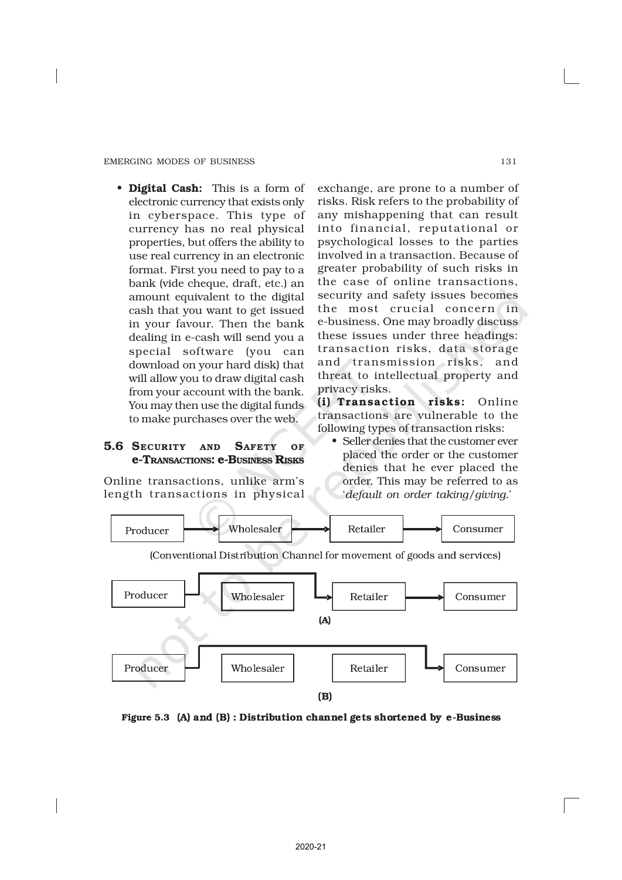• Digital Cash: This is a form of electronic currency that exists only in cyberspace. This type of currency has no real physical properties, but offers the ability to use real currency in an electronic format. First you need to pay to a bank (vide cheque, draft, etc.) an amount equivalent to the digital cash that you want to get issued in your favour. Then the bank dealing in e-cash will send you a special software (you can download on your hard disk) that will allow you to draw digital cash from your account with the bank. You may then use the digital funds to make purchases over the web.

# 5.6 SECURITY AND SAFETY OF e-TRANSACTIONS: e-BUSINESS RISKS

Online transactions, unlike arm's length transactions in physical exchange, are prone to a number of risks. Risk refers to the probability of any mishappening that can result into financial, reputational or psychological losses to the parties involved in a transaction. Because of greater probability of such risks in the case of online transactions, security and safety issues becomes the most crucial concern in e-business. One may broadly discuss these issues under three headings: transaction risks, data storage and transmission risks, and threat to intellectual property and privacy risks.

(i) Transaction risks: Online transactions are vulnerable to the following types of transaction risks:

• Seller denies that the customer ever placed the order or the customer denies that he ever placed the order. This may be referred to as '*default on order taking/giving.*'



Figure 5.3 (A) and  $(B)$ : Distribution channel gets shortened by e-Business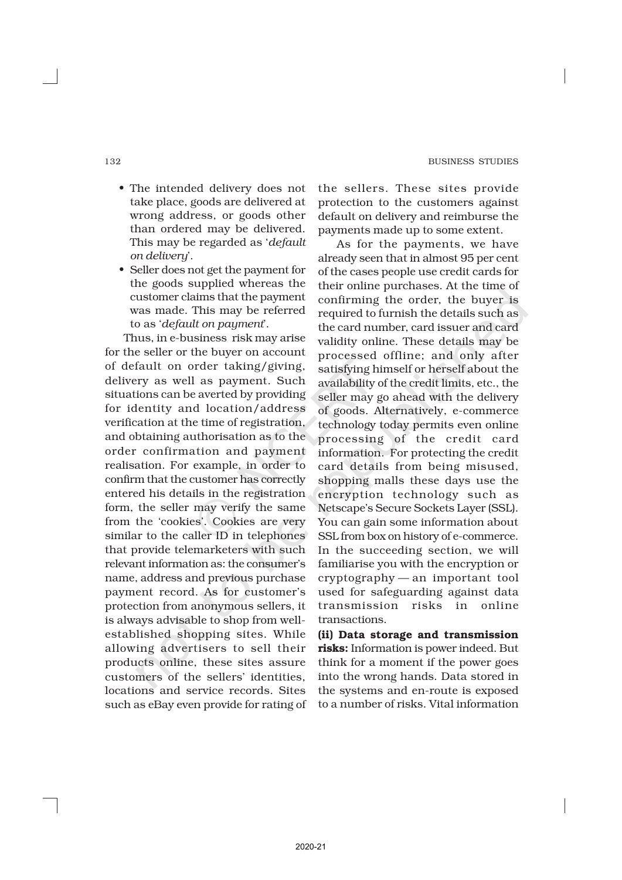- The intended delivery does not take place, goods are delivered at wrong address, or goods other than ordered may be delivered. This may be regarded as '*default on delivery*'.
- Seller does not get the payment for the goods supplied whereas the customer claims that the payment was made. This may be referred to as '*default on payment*'.

Thus, in e-business risk may arise for the seller or the buyer on account of default on order taking/giving, delivery as well as payment. Such situations can be averted by providing for identity and location/address verification at the time of registration, and obtaining authorisation as to the order confirmation and payment realisation. For example, in order to confirm that the customer has correctly entered his details in the registration form, the seller may verify the same from the 'cookies'. Cookies are very similar to the caller ID in telephones that provide telemarketers with such relevant information as: the consumer's name, address and previous purchase payment record. As for customer's protection from anonymous sellers, it is always advisable to shop from wellestablished shopping sites. While allowing advertisers to sell their products online, these sites assure customers of the sellers' identities, locations and service records. Sites such as eBay even provide for rating of the sellers. These sites provide protection to the customers against default on delivery and reimburse the payments made up to some extent.

As for the payments, we have already seen that in almost 95 per cent of the cases people use credit cards for their online purchases. At the time of confirming the order, the buyer is required to furnish the details such as the card number, card issuer and card validity online. These details may be processed offline; and only after satisfying himself or herself about the availability of the credit limits, etc., the seller may go ahead with the delivery of goods. Alternatively, e-commerce technology today permits even online processing of the credit card information. For protecting the credit card details from being misused, shopping malls these days use the encryption technology such as Netscape's Secure Sockets Layer (SSL). You can gain some information about SSL from box on history of e-commerce. In the succeeding section, we will familiarise you with the encryption or cryptography — an important tool used for safeguarding against data transmission risks in online transactions.

(ii) Data storage and transmission risks: Information is power indeed. But think for a moment if the power goes into the wrong hands. Data stored in the systems and en-route is exposed to a number of risks. Vital information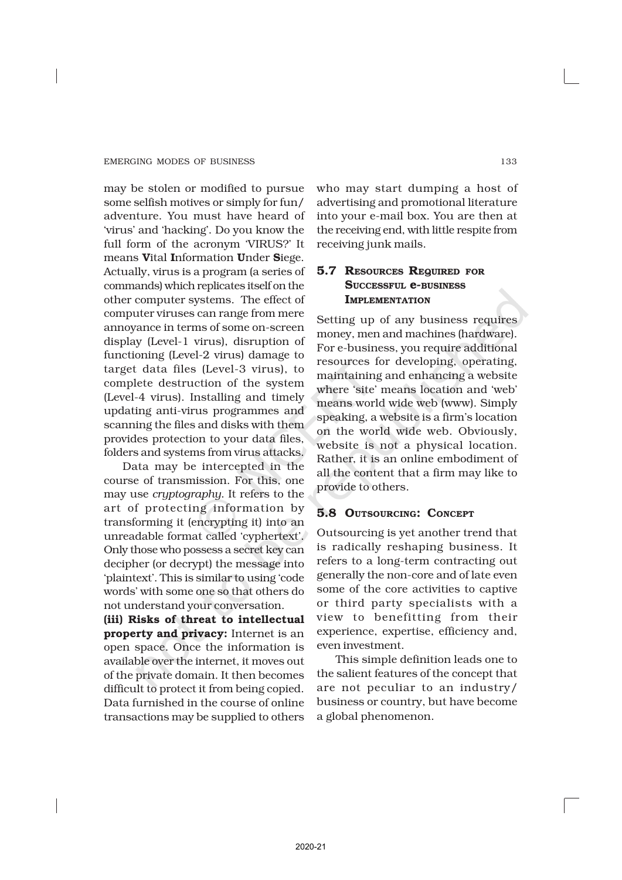may be stolen or modified to pursue some selfish motives or simply for fun/ adventure. You must have heard of 'virus' and 'hacking'. Do you know the full form of the acronym 'VIRUS?' It means Vital Information Under Siege. Actually, virus is a program (a series of commands) which replicates itself on the other computer systems. The effect of computer viruses can range from mere annoyance in terms of some on-screen display (Level-1 virus), disruption of functioning (Level-2 virus) damage to target data files (Level-3 virus), to complete destruction of the system (Level-4 virus). Installing and timely updating anti-virus programmes and scanning the files and disks with them provides protection to your data files, folders and systems from virus attacks.

Data may be intercepted in the course of transmission. For this, one may use *cryptography*. It refers to the art of protecting information by transforming it (encrypting it) into an unreadable format called 'cyphertext'. Only those who possess a secret key can decipher (or decrypt) the message into 'plaintext'. This is similar to using 'code words' with some one so that others do not understand your conversation.

(iii) Risks of threat to intellectual property and privacy: Internet is an open space. Once the information is available over the internet, it moves out of the private domain. It then becomes difficult to protect it from being copied. Data furnished in the course of online transactions may be supplied to others

who may start dumping a host of advertising and promotional literature into your e-mail box. You are then at the receiving end, with little respite from receiving junk mails.

# 5.7 RESOURCES REQUIRED FOR SUCCESSFUL **e-BUSINESS** IMPLEMENTATION

Setting up of any business requires money, men and machines (hardware). For e-business, you require additional resources for developing, operating, maintaining and enhancing a website where 'site' means location and 'web' means world wide web (www). Simply speaking, a website is a firm's location on the world wide web. Obviously, website is not a physical location. Rather, it is an online embodiment of all the content that a firm may like to provide to others.

# 5.8 OUTSOURCING: CONCEPT

Outsourcing is yet another trend that is radically reshaping business. It refers to a long-term contracting out generally the non-core and of late even some of the core activities to captive or third party specialists with a view to benefitting from their experience, expertise, efficiency and, even investment.

This simple definition leads one to the salient features of the concept that are not peculiar to an industry/ business or country, but have become a global phenomenon.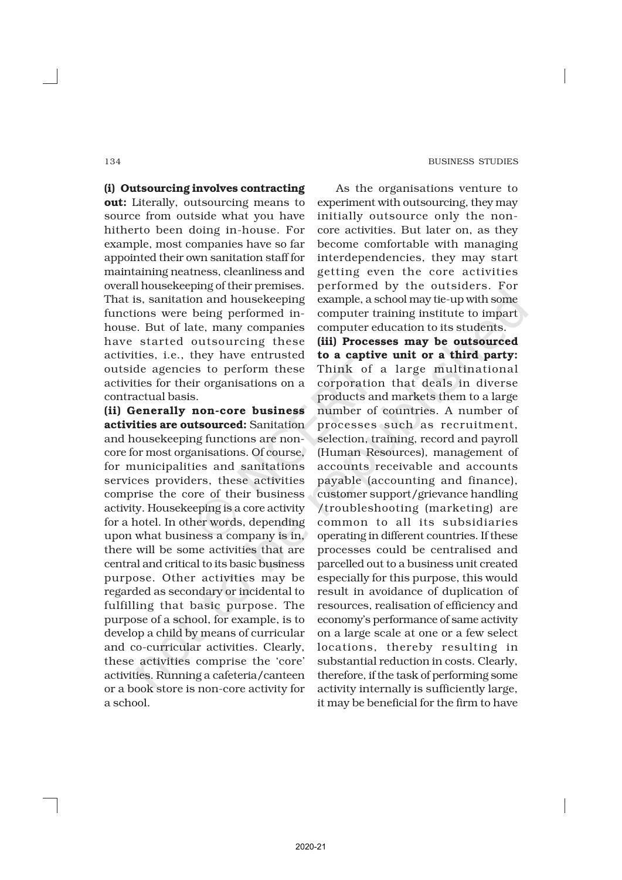(i) Outsourcing involves contracting out: Literally, outsourcing means to source from outside what you have hitherto been doing in-house. For example, most companies have so far appointed their own sanitation staff for maintaining neatness, cleanliness and overall housekeeping of their premises. That is, sanitation and housekeeping functions were being performed inhouse. But of late, many companies have started outsourcing these activities, i.e., they have entrusted outside agencies to perform these activities for their organisations on a contractual basis.

(ii) Generally non-core business activities are outsourced: Sanitation and housekeeping functions are noncore for most organisations. Of course, for municipalities and sanitations services providers, these activities comprise the core of their business activity. Housekeeping is a core activity for a hotel. In other words, depending upon what business a company is in, there will be some activities that are central and critical to its basic business purpose. Other activities may be regarded as secondary or incidental to fulfilling that basic purpose. The purpose of a school, for example, is to develop a child by means of curricular and co-curricular activities. Clearly, these activities comprise the 'core' activities. Running a cafeteria/canteen or a book store is non-core activity for a school.

As the organisations venture to experiment with outsourcing, they may initially outsource only the noncore activities. But later on, as they become comfortable with managing interdependencies, they may start getting even the core activities performed by the outsiders. For example, a school may tie-up with some computer training institute to impart computer education to its students. (iii) Processes may be outsourced to a captive unit or a third party: Think of a large multinational corporation that deals in diverse products and markets them to a large number of countries. A number of processes such as recruitment, selection, training, record and payroll (Human Resources), management of accounts receivable and accounts payable (accounting and finance), customer support/grievance handling /troubleshooting (marketing) are common to all its subsidiaries operating in different countries. If these processes could be centralised and parcelled out to a business unit created especially for this purpose, this would result in avoidance of duplication of resources, realisation of efficiency and economy's performance of same activity on a large scale at one or a few select locations, thereby resulting in substantial reduction in costs. Clearly, therefore, if the task of performing some activity internally is sufficiently large, it may be beneficial for the firm to have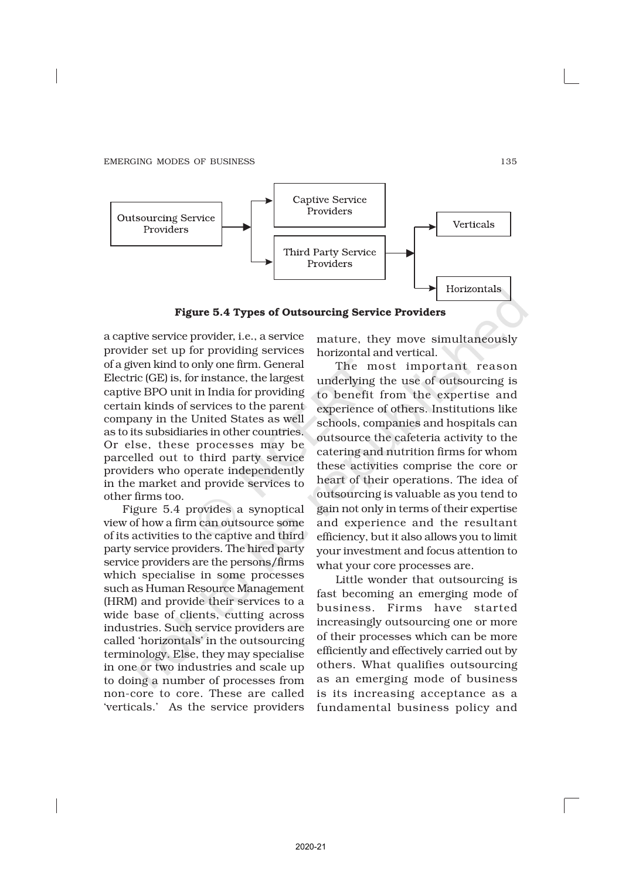

Figure 5.4 Types of Outsourcing Service Providers

a captive service provider, i.e., a service provider set up for providing services of a given kind to only one firm. General Electric (GE) is, for instance, the largest captive BPO unit in India for providing certain kinds of services to the parent company in the United States as well as to its subsidiaries in other countries. Or else, these processes may be parcelled out to third party service providers who operate independently in the market and provide services to other firms too.

Figure 5.4 provides a synoptical view of how a firm can outsource some of its activities to the captive and third party service providers. The hired party service providers are the persons/firms which specialise in some processes such as Human Resource Management (HRM) and provide their services to a wide base of clients, cutting across industries. Such service providers are called 'horizontals' in the outsourcing terminology. Else, they may specialise in one or two industries and scale up to doing a number of processes from non-core to core. These are called 'verticals.' As the service providers

mature, they move simultaneously horizontal and vertical.

The most important reason underlying the use of outsourcing is to benefit from the expertise and experience of others. Institutions like schools, companies and hospitals can outsource the cafeteria activity to the catering and nutrition firms for whom these activities comprise the core or heart of their operations. The idea of outsourcing is valuable as you tend to gain not only in terms of their expertise and experience and the resultant efficiency, but it also allows you to limit your investment and focus attention to what your core processes are.

Little wonder that outsourcing is fast becoming an emerging mode of business. Firms have started increasingly outsourcing one or more of their processes which can be more efficiently and effectively carried out by others. What qualifies outsourcing as an emerging mode of business is its increasing acceptance as a fundamental business policy and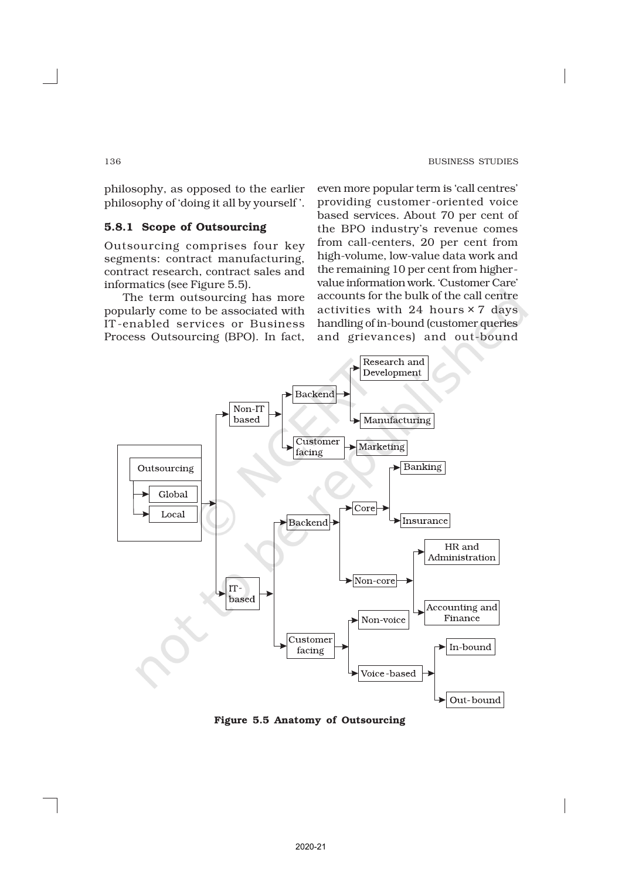philosophy, as opposed to the earlier philosophy of 'doing it all by yourself '.

# 5.8.1 Scope of Outsourcing

Outsourcing comprises four key segments: contract manufacturing, contract research, contract sales and informatics (see Figure 5.5).

The term outsourcing has more popularly come to be associated with IT -enabled services or Business Process Outsourcing (BPO). In fact,

even more popular term is 'call centres' providing customer -oriented voice based services. About 70 per cent of the BPO industry's revenue comes from call-centers, 20 per cent from high-volume, low-value data work and the remaining 10 per cent from highervalue information work. 'Customer Care' accounts for the bulk of the call centre activities with 24 hours × 7 days handling of in-bound (customer queries and grievances) and out-bound



Figure 5.5 Anatomy of Outsourcing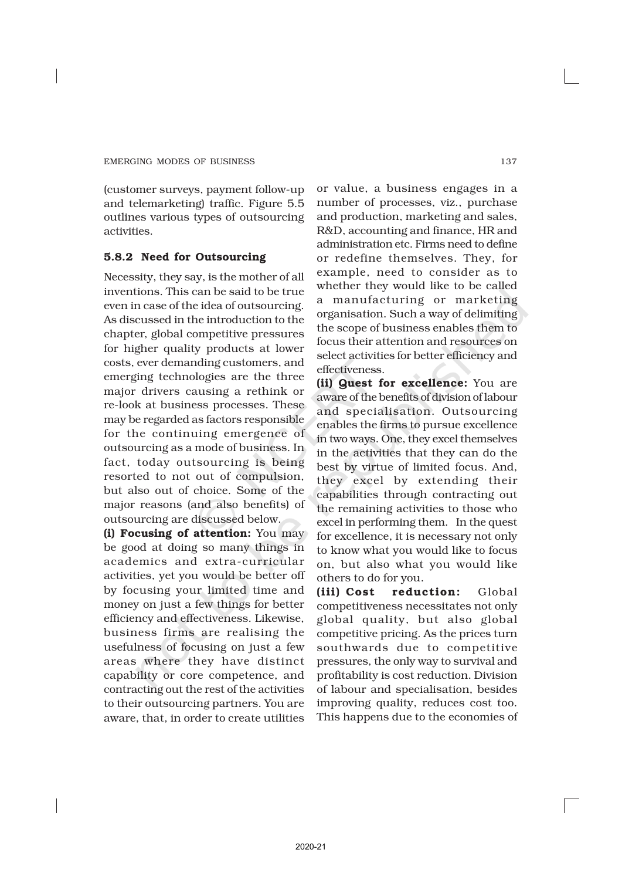(customer surveys, payment follow-up and telemarketing) traffic. Figure 5.5 outlines various types of outsourcing activities.

## 5.8.2 Need for Outsourcing

Necessity, they say, is the mother of all inventions. This can be said to be true even in case of the idea of outsourcing. As discussed in the introduction to the chapter, global competitive pressures for higher quality products at lower costs, ever demanding customers, and emerging technologies are the three major drivers causing a rethink or re-look at business processes. These may be regarded as factors responsible for the continuing emergence of outsourcing as a mode of business. In fact, today outsourcing is being resorted to not out of compulsion, but also out of choice. Some of the major reasons (and also benefits) of outsourcing are discussed below.

(i) Focusing of attention: You may be good at doing so many things in academics and extra-curricular activities, yet you would be better off by focusing your limited time and money on just a few things for better efficiency and effectiveness. Likewise, business firms are realising the usefulness of focusing on just a few areas where they have distinct capability or core competence, and contracting out the rest of the activities to their outsourcing partners. You are aware, that, in order to create utilities

or value, a business engages in a number of processes, viz., purchase and production, marketing and sales, R&D, accounting and finance, HR and administration etc. Firms need to define or redefine themselves. They, for example, need to consider as to whether they would like to be called a manufacturing or marketing organisation. Such a way of delimiting the scope of business enables them to focus their attention and resources on select activities for better efficiency and effectiveness.

(ii) Quest for excellence: You are aware of the benefits of division of labour and specialisation. Outsourcing enables the firms to pursue excellence in two ways. One, they excel themselves in the activities that they can do the best by virtue of limited focus. And, they excel by extending their capabilities through contracting out the remaining activities to those who excel in performing them. In the quest for excellence, it is necessary not only to know what you would like to focus on, but also what you would like others to do for you.

(iii) Cost reduction: Global competitiveness necessitates not only global quality, but also global competitive pricing. As the prices turn southwards due to competitive pressures, the only way to survival and profitability is cost reduction. Division of labour and specialisation, besides improving quality, reduces cost too. This happens due to the economies of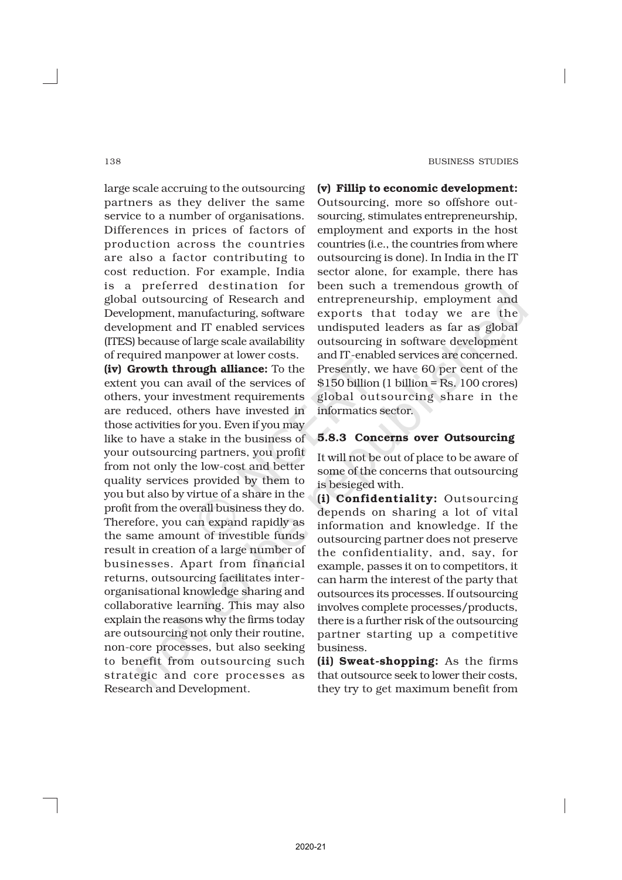large scale accruing to the outsourcing partners as they deliver the same service to a number of organisations. Differences in prices of factors of production across the countries are also a factor contributing to cost reduction. For example, India is a preferred destination for global outsourcing of Research and Development, manufacturing, software development and IT enabled services (ITES) because of large scale availability of required manpower at lower costs.

(iv) Growth through alliance: To the extent you can avail of the services of others, your investment requirements are reduced, others have invested in those activities for you. Even if you may like to have a stake in the business of your outsourcing partners, you profit from not only the low-cost and better quality services provided by them to you but also by virtue of a share in the profit from the overall business they do. Therefore, you can expand rapidly as the same amount of investible funds result in creation of a large number of businesses. Apart from financial returns, outsourcing facilitates interorganisational knowledge sharing and collaborative learning. This may also explain the reasons why the firms today are outsourcing not only their routine, non-core processes, but also seeking to benefit from outsourcing such strategic and core processes as Research and Development.

(v) Fillip to economic development: Outsourcing, more so offshore outsourcing, stimulates entrepreneurship, employment and exports in the host countries (i.e., the countries from where outsourcing is done). In India in the IT sector alone, for example, there has been such a tremendous growth of entrepreneurship, employment and exports that today we are the undisputed leaders as far as global outsourcing in software development and IT-enabled services are concerned. Presently, we have 60 per cent of the \$150 billion (1 billion = Rs. 100 crores) global outsourcing share in the informatics sector.

# 5.8.3 Concerns over Outsourcing

It will not be out of place to be aware of some of the concerns that outsourcing is besieged with.

(i) Confidentiality: Outsourcing depends on sharing a lot of vital information and knowledge. If the outsourcing partner does not preserve the confidentiality, and, say, for example, passes it on to competitors, it can harm the interest of the party that outsources its processes. If outsourcing involves complete processes/products, there is a further risk of the outsourcing partner starting up a competitive business.

(ii) Sweat-shopping: As the firms that outsource seek to lower their costs, they try to get maximum benefit from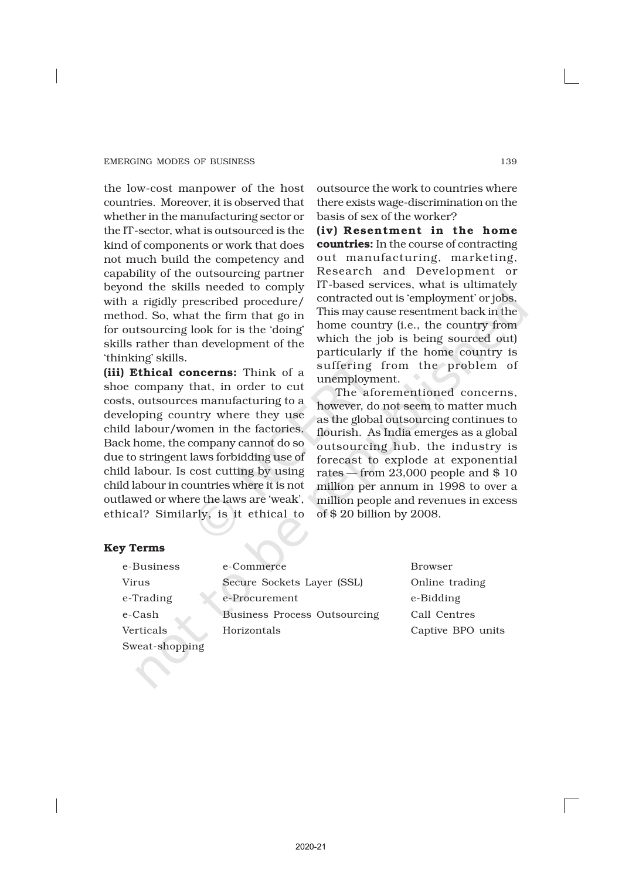the low-cost manpower of the host countries. Moreover, it is observed that whether in the manufacturing sector or the IT-sector, what is outsourced is the kind of components or work that does not much build the competency and capability of the outsourcing partner beyond the skills needed to comply with a rigidly prescribed procedure/ method. So, what the firm that go in for outsourcing look for is the 'doing' skills rather than development of the 'thinking' skills.

(iii) Ethical concerns: Think of a shoe company that, in order to cut costs, outsources manufacturing to a developing country where they use child labour/women in the factories. Back home, the company cannot do so due to stringent laws forbidding use of child labour. Is cost cutting by using child labour in countries where it is not outlawed or where the laws are 'weak', ethical? Similarly, is it ethical to

outsource the work to countries where there exists wage-discrimination on the basis of sex of the worker?

(iv) Resentment in the home countries: In the course of contracting out manufacturing, marketing, Research and Development or IT-based services, what is ultimately contracted out is 'employment' or jobs. This may cause resentment back in the home country (i.e., the country from which the job is being sourced out) particularly if the home country is suffering from the problem of unemployment.

The aforementioned concerns, however, do not seem to matter much as the global outsourcing continues to flourish. As India emerges as a global outsourcing hub, the industry is forecast to explode at exponential rates — from 23,000 people and \$ 10 million per annum in 1998 to over a million people and revenues in excess of \$ 20 billion by 2008.

# Key Terms

| e-Business     | e-Commerce                      |
|----------------|---------------------------------|
| Virus          | Secure Sockets Layer (SSI       |
| e-Trading      | e-Procurement                   |
| e-Cash         | <b>Business Process Outsour</b> |
| Verticals      | Horizontals                     |
| Sweat-shopping |                                 |

Browser L) Online trading e-Bidding eing Call Centres Captive BPO units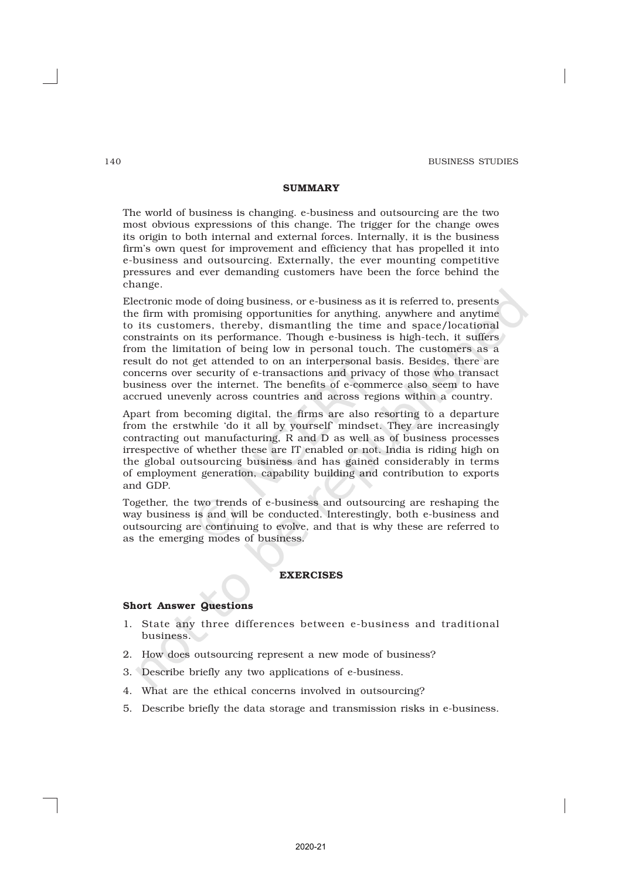## **SUMMARY**

The world of business is changing. e-business and outsourcing are the two most obvious expressions of this change. The trigger for the change owes its origin to both internal and external forces. Internally, it is the business firm's own quest for improvement and efficiency that has propelled it into e-business and outsourcing. Externally, the ever mounting competitive pressures and ever demanding customers have been the force behind the change.

Electronic mode of doing business, or e-business as it is referred to, presents the firm with promising opportunities for anything, anywhere and anytime to its customers, thereby, dismantling the time and space/locational constraints on its performance. Though e-business is high-tech, it suffers from the limitation of being low in personal touch. The customers as a result do not get attended to on an interpersonal basis. Besides, there are concerns over security of e-transactions and privacy of those who transact business over the internet. The benefits of e-commerce also seem to have accrued unevenly across countries and across regions within a country.

Apart from becoming digital, the firms are also resorting to a departure from the erstwhile 'do it all by yourself' mindset. They are increasingly contracting out manufacturing, R and D as well as of business processes irrespective of whether these are IT enabled or not. India is riding high on the global outsourcing business and has gained considerably in terms of employment generation, capability building and contribution to exports and GDP.

Together, the two trends of e-business and outsourcing are reshaping the way business is and will be conducted. Interestingly, both e-business and outsourcing are continuing to evolve, and that is why these are referred to as the emerging modes of business.

#### EXERCISES

#### Short Answer Questions

- 1. State any three differences between e-business and traditional business.
- 2. How does outsourcing represent a new mode of business?
- 3. Describe briefly any two applications of e-business.
- 4. What are the ethical concerns involved in outsourcing?
- 5. Describe briefly the data storage and transmission risks in e-business.